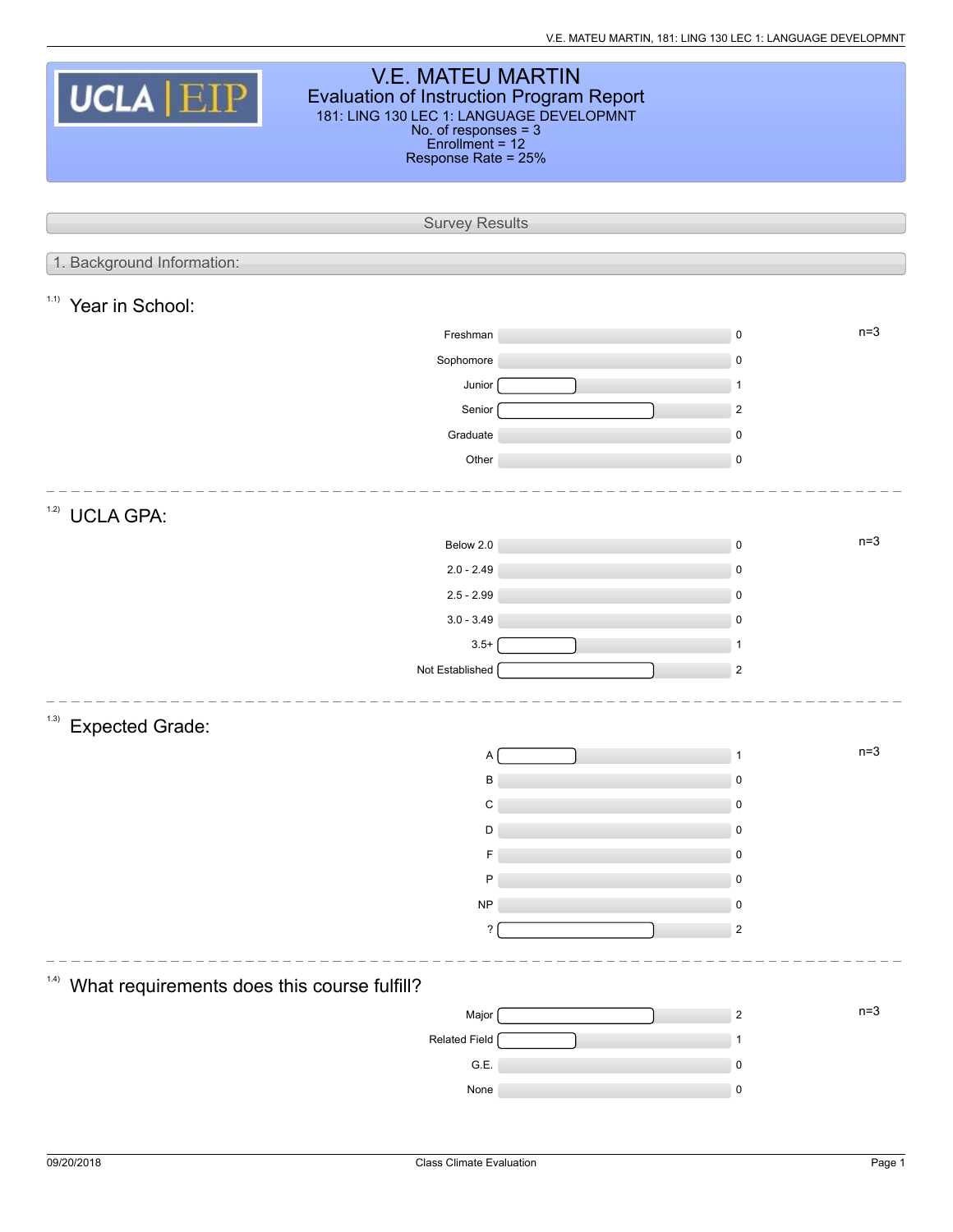| <b>V.E. MATEU MARTIN</b><br>UCLA   EIP<br><b>Evaluation of Instruction Program Report</b><br>181: LING 130 LEC 1: LANGUAGE DEVELOPMNT<br>No. of responses = 3<br>Enrollment = 12<br>Response Rate = 25% |                       |  |                     |       |  |  |  |  |
|---------------------------------------------------------------------------------------------------------------------------------------------------------------------------------------------------------|-----------------------|--|---------------------|-------|--|--|--|--|
|                                                                                                                                                                                                         | <b>Survey Results</b> |  |                     |       |  |  |  |  |
| 1. Background Information:                                                                                                                                                                              |                       |  |                     |       |  |  |  |  |
|                                                                                                                                                                                                         |                       |  |                     |       |  |  |  |  |
| 1.1)<br>Year in School:                                                                                                                                                                                 |                       |  |                     |       |  |  |  |  |
|                                                                                                                                                                                                         | Freshman              |  | 0                   | $n=3$ |  |  |  |  |
|                                                                                                                                                                                                         | Sophomore             |  | $\mathbf 0$         |       |  |  |  |  |
|                                                                                                                                                                                                         | Junior                |  | $\mathbf{1}$        |       |  |  |  |  |
|                                                                                                                                                                                                         | Senior                |  | $\overline{2}$      |       |  |  |  |  |
|                                                                                                                                                                                                         | Graduate              |  | $\pmb{0}$           |       |  |  |  |  |
|                                                                                                                                                                                                         | Other                 |  | $\pmb{0}$           |       |  |  |  |  |
| 1.2)<br><b>UCLA GPA:</b>                                                                                                                                                                                |                       |  |                     |       |  |  |  |  |
|                                                                                                                                                                                                         | Below 2.0             |  | $\pmb{0}$           | $n=3$ |  |  |  |  |
|                                                                                                                                                                                                         | $2.0 - 2.49$          |  | 0                   |       |  |  |  |  |
|                                                                                                                                                                                                         | $2.5 - 2.99$          |  | $\pmb{0}$           |       |  |  |  |  |
|                                                                                                                                                                                                         | $3.0 - 3.49$          |  | $\mathbf 0$         |       |  |  |  |  |
|                                                                                                                                                                                                         | $3.5+$                |  | 1                   |       |  |  |  |  |
|                                                                                                                                                                                                         | Not Established       |  | $\mathbf 2$         |       |  |  |  |  |
| (1.3)<br><b>Expected Grade:</b>                                                                                                                                                                         |                       |  |                     |       |  |  |  |  |
|                                                                                                                                                                                                         | Α                     |  |                     | $n=3$ |  |  |  |  |
|                                                                                                                                                                                                         | В                     |  | $\mathbf 0$         |       |  |  |  |  |
|                                                                                                                                                                                                         | C                     |  | 0                   |       |  |  |  |  |
|                                                                                                                                                                                                         | D                     |  | 0                   |       |  |  |  |  |
|                                                                                                                                                                                                         | F                     |  | 0                   |       |  |  |  |  |
|                                                                                                                                                                                                         | P                     |  | $\mathbf 0$         |       |  |  |  |  |
|                                                                                                                                                                                                         | <b>NP</b><br>?        |  | 0<br>$\overline{c}$ |       |  |  |  |  |
|                                                                                                                                                                                                         |                       |  |                     |       |  |  |  |  |
| (1.4)<br>What requirements does this course fulfill?                                                                                                                                                    |                       |  |                     |       |  |  |  |  |
|                                                                                                                                                                                                         | Major                 |  | $\mathbf{2}$        | $n=3$ |  |  |  |  |
|                                                                                                                                                                                                         | Related Field         |  |                     |       |  |  |  |  |
|                                                                                                                                                                                                         | G.E.                  |  | 0                   |       |  |  |  |  |
|                                                                                                                                                                                                         | None                  |  | $\pmb{0}$           |       |  |  |  |  |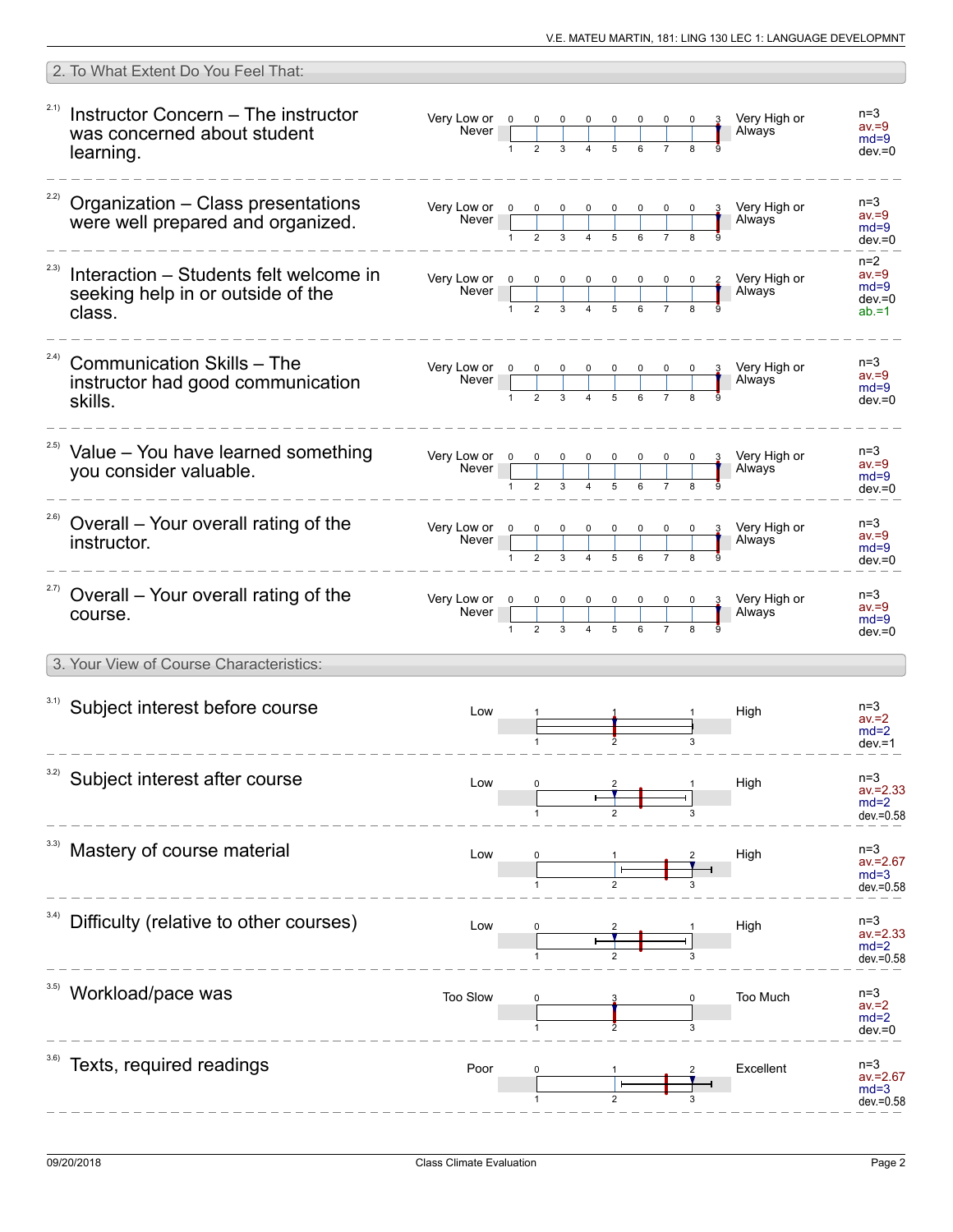|      | 2. To What Extent Do You Feel That:                                                   |                                                                                                                 |   |             |                                                        |             |   |                          |                                                      |
|------|---------------------------------------------------------------------------------------|-----------------------------------------------------------------------------------------------------------------|---|-------------|--------------------------------------------------------|-------------|---|--------------------------|------------------------------------------------------|
| 2.1) | Instructor Concern - The instructor<br>was concerned about student<br>learning.       | Very Low or 0<br><b>Never</b>                                                                                   |   |             |                                                        | $0\qquad 0$ |   | Very High or<br>Always   | $n=3$<br>$av = 9$<br>$md=9$<br>$dev = 0$             |
| 2.2) | Organization - Class presentations<br>were well prepared and organized.               | Very Low or $0$<br>Never                                                                                        |   |             |                                                        |             |   | Very High or<br>Always   | $n=3$<br>$av = 9$<br>$md=9$<br>$dev = 0$             |
| 2.3) | Interaction – Students felt welcome in<br>seeking help in or outside of the<br>class. | Very Low or 0 0<br>Never                                                                                        | 1 |             |                                                        |             |   | 2 Very High or<br>Always | $n=2$<br>$av = 9$<br>$md=9$<br>$dev = 0$<br>$ab = 1$ |
| 2.4) | <b>Communication Skills - The</b><br>instructor had good communication<br>skills.     | Very Low or $\begin{array}{cccccc} 0 & 0 & 0 & 0 & 0 & 0 \\ \hline 0 & 0 & 0 & 0 & 0 & 0 \\ \hline \end{array}$ |   |             |                                                        |             |   | 3 Very High or<br>Always | $n = 3$<br>$av = 9$<br>$md=9$<br>$dev = 0$           |
|      | Value - You have learned something<br>you consider valuable.                          | Very Low or 0<br>Never <sub>1</sub>                                                                             |   |             |                                                        |             |   | Very High or<br>Always   | $n = 3$<br>$av = 9$<br>$md=9$<br>$dev = 0$           |
| 2.6) | Overall – Your overall rating of the<br>instructor.                                   | Very Low or 0<br>Never <sub>1</sub>                                                                             |   | $0\qquad 0$ | $\begin{array}{c c}\n0 & 0 & 0 \\ \hline\n\end{array}$ |             |   | 3 Very High or<br>Always | $n=3$<br>$av = 9$<br>$md=9$<br>$dev = 0$             |
| 2.7) | Overall – Your overall rating of the<br>course.                                       | Very Low or 0<br>Never                                                                                          |   |             |                                                        |             |   | Very High or<br>Always   | $n=3$<br>$av = 9$<br>$md=9$<br>$dev = 0$             |
|      | 3. Your View of Course Characteristics:                                               |                                                                                                                 |   |             |                                                        |             |   |                          |                                                      |
|      | 3.1) Subject interest before course                                                   | Low                                                                                                             |   |             |                                                        |             |   | High                     | $n=3$<br>$av = 2$<br>$md=2$<br>$dev = 1$             |
| 3.2) | Subject interest after course                                                         | Low                                                                                                             |   |             |                                                        |             |   | High                     | $n=3$<br>$av = 2.33$<br>$md=2$<br>$dev = 0.58$       |
|      | Mastery of course material                                                            | Low                                                                                                             |   |             |                                                        |             |   | High                     | $n=3$<br>$av = 2.67$<br>$md=3$<br>dev.=0.58          |
| 3.4) | Difficulty (relative to other courses)                                                | Low                                                                                                             |   |             |                                                        |             |   | High                     | $n=3$<br>$av = 2.33$<br>$md=2$<br>$dev = 0.58$       |
|      | Workload/pace was                                                                     | Too Slow                                                                                                        |   |             |                                                        |             | 3 | Too Much                 | $n = 3$<br>$av = 2$<br>$md=2$<br>$dev = 0$           |
|      | Texts, required readings                                                              | Poor                                                                                                            |   |             |                                                        |             |   | Excellent                | $n=3$<br>$av = 2.67$<br>$md=3$<br>dev.=0.58          |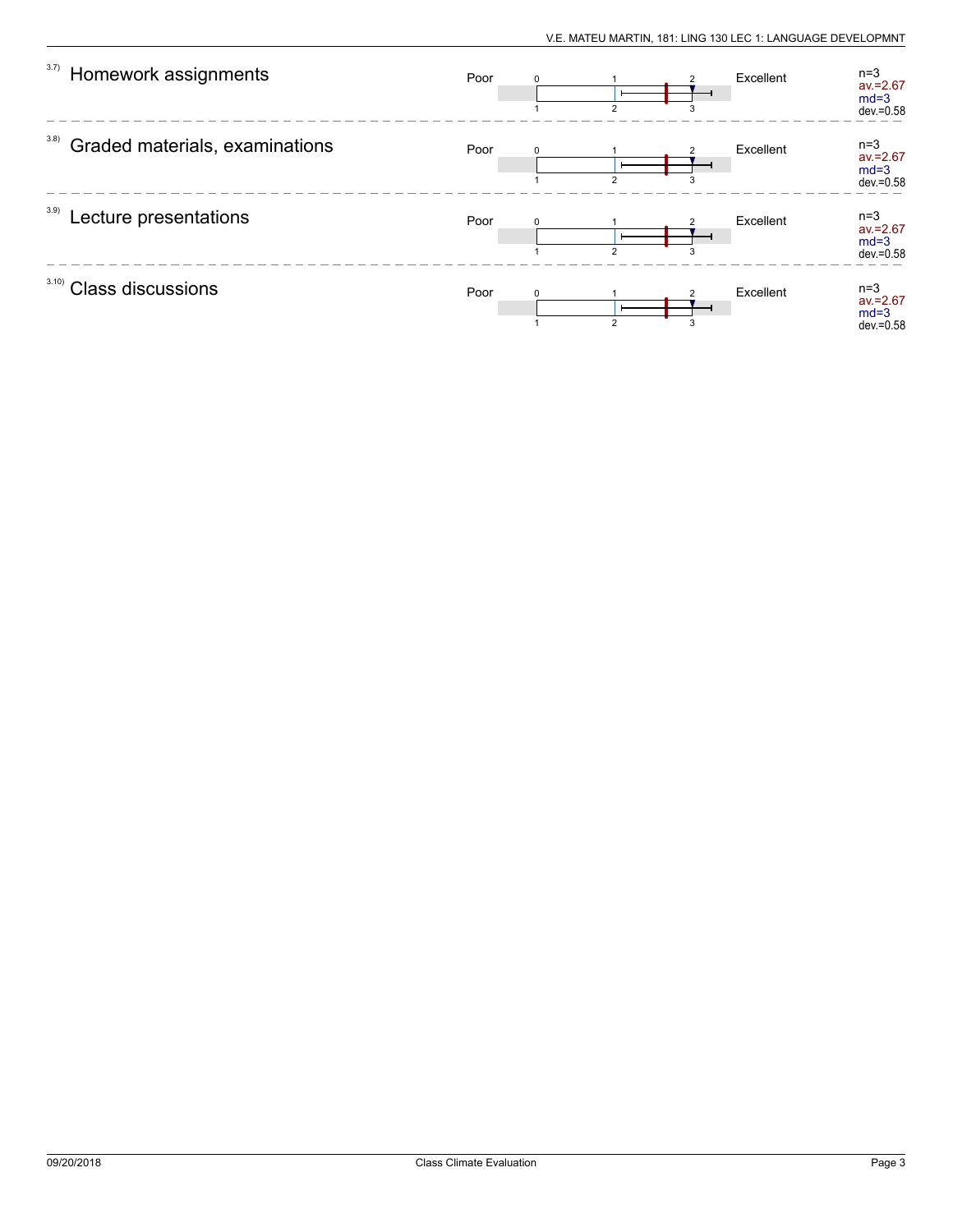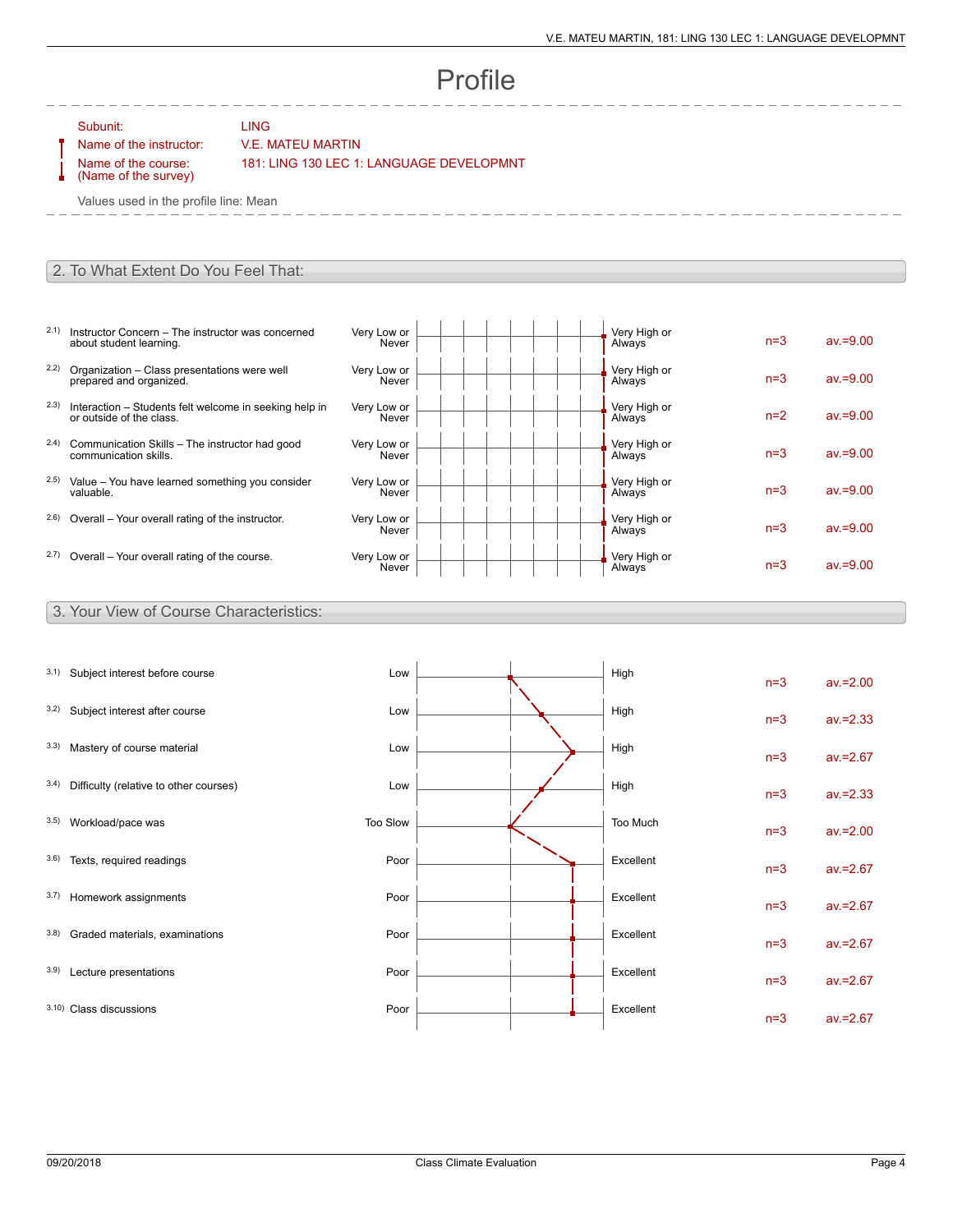# Profile

Subunit: LING

### Name of the instructor: V.E. MATEU MARTIN

Name of the course: (Name of the survey) 181: LING 130 LEC 1: LANGUAGE DEVELOPMNT

Values used in the profile line: Mean

#### 2. To What Extent Do You Feel That:

- 2.1) Instructor Concern The instructor was concerned about student learning.
- 2.2) Organization Class presentations were well prepared and organized.
- 2.3) Interaction Students felt welcome in seeking help in or outside of the class.
- 2.4) Communication Skills The instructor had good communication skills.
- 2.5) Value You have learned something you consider valuable.
- $2.6$ ) Overall Your overall rating of the instructor.
- $2.7)$  Overall Your overall rating of the course.

| Very Low or<br>Never | Very High or<br>Always | $n=3$ | $av = 9.00$ |
|----------------------|------------------------|-------|-------------|
| Very Low or<br>Never | Very High or<br>Always | $n=3$ | $av = 9.00$ |
| Very Low or<br>Never | Very High or<br>Always | $n=2$ | $av = 9.00$ |
| Very Low or<br>Never | Very High or<br>Always | $n=3$ | $av = 9.00$ |
| Very Low or<br>Never | Very High or<br>Always | $n=3$ | $av = 9.00$ |
| Very Low or<br>Never | Very High or<br>Always | $n=3$ | $av = 9.00$ |
| Very Low or<br>Never | Very High or<br>Always | $n=3$ | $av = 9.00$ |

#### 3. Your View of Course Characteristics:

| 3.1) | Subject interest before course         | Low      | High      | $n=3$ | $av = 2.00$ |
|------|----------------------------------------|----------|-----------|-------|-------------|
| 3.2) | Subject interest after course          | Low      | High      | $n=3$ | $av = 2.33$ |
| 3.3) | Mastery of course material             | Low      | High      | $n=3$ | $av = 2.67$ |
| 3.4) | Difficulty (relative to other courses) | Low      | High      | $n=3$ | $av = 2.33$ |
| 3.5) | Workload/pace was                      | Too Slow | Too Much  | $n=3$ | $av = 2.00$ |
| 3.6) | Texts, required readings               | Poor     | Excellent | $n=3$ | $av = 2.67$ |
| 3.7) | Homework assignments                   | Poor     | Excellent | $n=3$ | $av = 2.67$ |
| 3.8) | Graded materials, examinations         | Poor     | Excellent | $n=3$ | $av = 2.67$ |
| 3.9) | Lecture presentations                  | Poor     | Excellent | $n=3$ | $av = 2.67$ |
|      | 3.10) Class discussions                | Poor     | Excellent | $n=3$ | $av = 2.67$ |